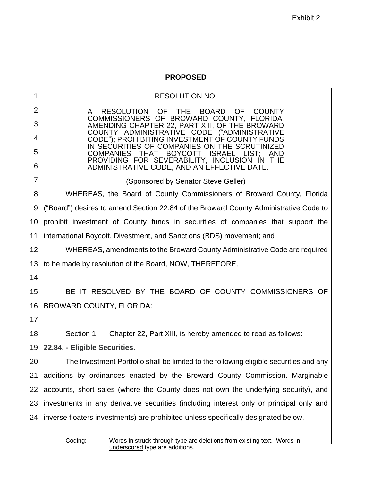## **PROPOSED**

|    | <b>RESOLUTION NO.</b>                                                                                                              |
|----|------------------------------------------------------------------------------------------------------------------------------------|
| 2  | <b>RESOLUTION</b><br>OF<br><b>THE</b><br><b>BOARD</b><br>OF<br><b>COUNTY</b><br>A<br>COMMISSIONERS OF BROWARD COUNTY, FLORIDA,     |
| 3  | AMENDING CHAPTER 22, PART XIII, OF THE BROWARD<br>COUNTY ADMINISTRATIVE<br>CODE<br>("ADMINISTRATIVE                                |
| 4  | CODE"); PROHIBITING INVESTMENT OF COUNTY FUNDS<br>IN SECURITIES OF COMPANIES ON THE SCRUTINIZED                                    |
| 5  | <b>COMPANIES</b><br><b>THAT</b><br><b>BOYCOTT</b><br><b>ISRAEL</b><br>LIST:<br>AND<br>PROVIDING FOR SEVERABILITY, INCLUSION IN THE |
| 6  | ADMINISTRATIVE CODE, AND AN EFFECTIVE DATE.                                                                                        |
| 7  | (Sponsored by Senator Steve Geller)                                                                                                |
| 8  | WHEREAS, the Board of County Commissioners of Broward County, Florida                                                              |
| 9  | ("Board") desires to amend Section 22.84 of the Broward County Administrative Code to                                              |
| 10 | prohibit investment of County funds in securities of companies that support the                                                    |
| 11 | international Boycott, Divestment, and Sanctions (BDS) movement; and                                                               |
| 12 | WHEREAS, amendments to the Broward County Administrative Code are required                                                         |
| 13 | to be made by resolution of the Board, NOW, THEREFORE,                                                                             |
| 14 |                                                                                                                                    |
| 15 | BE IT RESOLVED BY THE BOARD OF COUNTY COMMISSIONERS OF                                                                             |
| 16 | <b>BROWARD COUNTY, FLORIDA:</b>                                                                                                    |
| 17 |                                                                                                                                    |
| 18 | Section 1.<br>Chapter 22, Part XIII, is hereby amended to read as follows:                                                         |
| 19 | 22.84. - Eligible Securities.                                                                                                      |
| 20 | The Investment Portfolio shall be limited to the following eligible securities and any                                             |
| 21 | additions by ordinances enacted by the Broward County Commission. Marginable                                                       |
| 22 | accounts, short sales (where the County does not own the underlying security), and                                                 |
| 23 | investments in any derivative securities (including interest only or principal only and                                            |
| 24 | inverse floaters investments) are prohibited unless specifically designated below.                                                 |
|    | Coding:<br>Words in struck-through type are deletions from existing text. Words in                                                 |

Coding: Words in struck-through type are deletions from existing text. Words in underscored type are additions.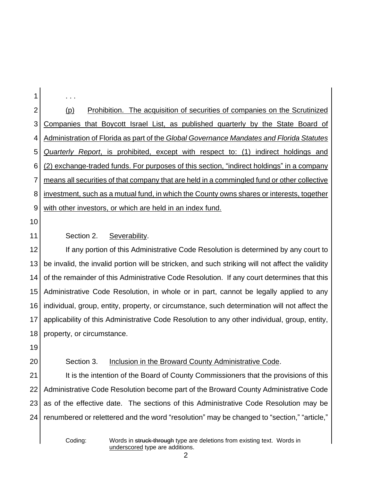2 3 4 5 6 7 8 9 (p) Prohibition. The acquisition of securities of companies on the Scrutinized Companies that Boycott Israel List, as published quarterly by the State Board of Administration of Florida as part of the *Global Governance Mandates and Florida Statutes Quarterly Report*, is prohibited, except with respect to: (1) indirect holdings and (2) exchange-traded funds. For purposes of this section, "indirect holdings" in a company means all securities of that company that are held in a commingled fund or other collective investment, such as a mutual fund, in which the County owns shares or interests, together with other investors, or which are held in an index fund.

10

11

1

. . .

## Section 2. Severability.

12 13 14 15 16 17 18 If any portion of this Administrative Code Resolution is determined by any court to be invalid, the invalid portion will be stricken, and such striking will not affect the validity of the remainder of this Administrative Code Resolution. If any court determines that this Administrative Code Resolution, in whole or in part, cannot be legally applied to any individual, group, entity, property, or circumstance, such determination will not affect the applicability of this Administrative Code Resolution to any other individual, group, entity, property, or circumstance.

- 19
- 20

## Section 3. Inclusion in the Broward County Administrative Code.

21 22 23 24 It is the intention of the Board of County Commissioners that the provisions of this Administrative Code Resolution become part of the Broward County Administrative Code as of the effective date. The sections of this Administrative Code Resolution may be renumbered or relettered and the word "resolution" may be changed to "section," "article,"

Coding: Words in struck-through type are deletions from existing text. Words in underscored type are additions.